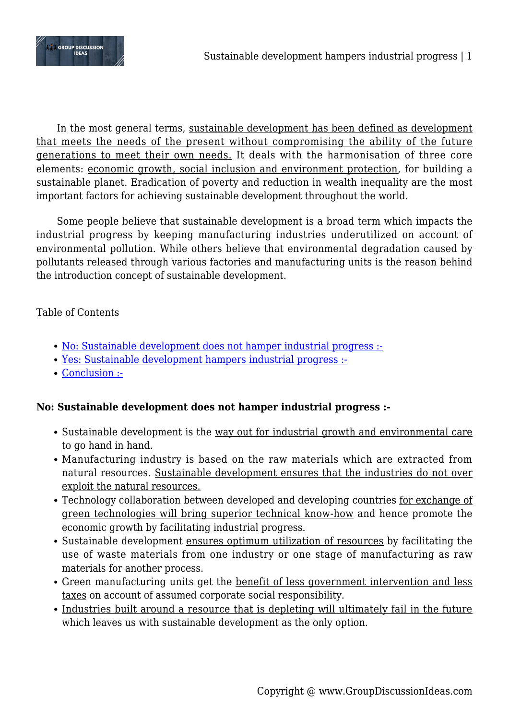

In the most general terms, sustainable development has been defined as development that meets the needs of the present without compromising the ability of the future generations to meet their own needs. It deals with the harmonisation of three core elements: economic growth, social inclusion and environment protection, for building a sustainable planet. Eradication of poverty and reduction in wealth inequality are the most important factors for achieving sustainable development throughout the world.

Some people believe that sustainable development is a broad term which impacts the industrial progress by keeping manufacturing industries underutilized on account of environmental pollution. While others believe that environmental degradation caused by pollutants released through various factories and manufacturing units is the reason behind the introduction concept of sustainable development.

# Table of Contents

- [No: Sustainable development does not hamper industrial progress :-](#page--1-0)
- [Yes: Sustainable development hampers industrial progress :-](#page--1-0)
- [Conclusion :-](#page--1-0)

# **No: Sustainable development does not hamper industrial progress :-**

- Sustainable development is the way out for industrial growth and environmental care to go hand in hand.
- Manufacturing industry is based on the raw materials which are extracted from natural resources. Sustainable development ensures that the industries do not over exploit the natural resources.
- Technology collaboration between developed and developing countries for exchange of green technologies will bring superior technical know-how and hence promote the economic growth by facilitating industrial progress.
- Sustainable development ensures optimum utilization of resources by facilitating the use of waste materials from one industry or one stage of manufacturing as raw materials for another process.
- Green manufacturing units get the benefit of less government intervention and less taxes on account of assumed corporate social responsibility.
- Industries built around a resource that is depleting will ultimately fail in the future which leaves us with sustainable development as the only option.